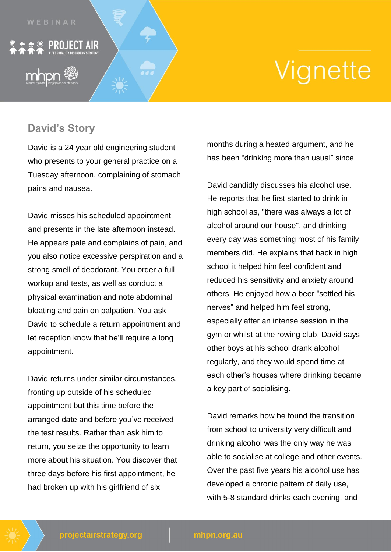

mhpn

<u>☆ ※</u> PROJECT AIR

## Vignette

## **David's Story**

David is a 24 year old engineering student who presents to your general practice on a Tuesday afternoon, complaining of stomach pains and nausea.

David misses his scheduled appointment and presents in the late afternoon instead. He appears pale and complains of pain, and you also notice excessive perspiration and a strong smell of deodorant. You order a full workup and tests, as well as conduct a physical examination and note abdominal bloating and pain on palpation. You ask David to schedule a return appointment and let reception know that he'll require a long appointment.

David returns under similar circumstances, fronting up outside of his scheduled appointment but this time before the arranged date and before you've received the test results. Rather than ask him to return, you seize the opportunity to learn more about his situation. You discover that three days before his first appointment, he had broken up with his girlfriend of six

months during a heated argument, and he has been "drinking more than usual" since.

David candidly discusses his alcohol use. He reports that he first started to drink in high school as, "there was always a lot of alcohol around our house", and drinking every day was something most of his family members did. He explains that back in high school it helped him feel confident and reduced his sensitivity and anxiety around others. He enjoyed how a beer "settled his nerves" and helped him feel strong, especially after an intense session in the gym or whilst at the rowing club. David says other boys at his school drank alcohol regularly, and they would spend time at each other's houses where drinking became a key part of socialising.

David remarks how he found the transition from school to university very difficult and drinking alcohol was the only way he was able to socialise at college and other events. Over the past five years his alcohol use has developed a chronic pattern of daily use, with 5-8 standard drinks each evening, and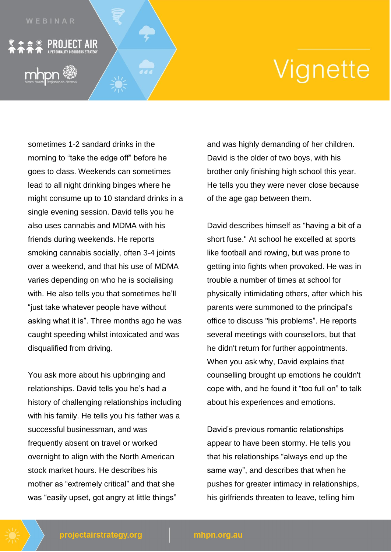## Vignette

sometimes 1-2 sandard drinks in the morning to "take the edge off" before he goes to class. Weekends can sometimes lead to all night drinking binges where he might consume up to 10 standard drinks in a single evening session. David tells you he also uses cannabis and MDMA with his friends during weekends. He reports smoking cannabis socially, often 3-4 joints over a weekend, and that his use of MDMA varies depending on who he is socialising with. He also tells you that sometimes he'll "just take whatever people have without asking what it is". Three months ago he was caught speeding whilst intoxicated and was disqualified from driving.

• ※ PROJECT AIR

You ask more about his upbringing and relationships. David tells you he's had a history of challenging relationships including with his family. He tells you his father was a successful businessman, and was frequently absent on travel or worked overnight to align with the North American stock market hours. He describes his mother as "extremely critical" and that she was "easily upset, got angry at little things"

and was highly demanding of her children. David is the older of two boys, with his brother only finishing high school this year. He tells you they were never close because of the age gap between them.

David describes himself as "having a bit of a short fuse." At school he excelled at sports like football and rowing, but was prone to getting into fights when provoked. He was in trouble a number of times at school for physically intimidating others, after which his parents were summoned to the principal's office to discuss "his problems". He reports several meetings with counsellors, but that he didn't return for further appointments. When you ask why, David explains that counselling brought up emotions he couldn't cope with, and he found it "too full on" to talk about his experiences and emotions.

David's previous romantic relationships appear to have been stormy. He tells you that his relationships "always end up the same way", and describes that when he pushes for greater intimacy in relationships, his girlfriends threaten to leave, telling him

## mhpn.org.au